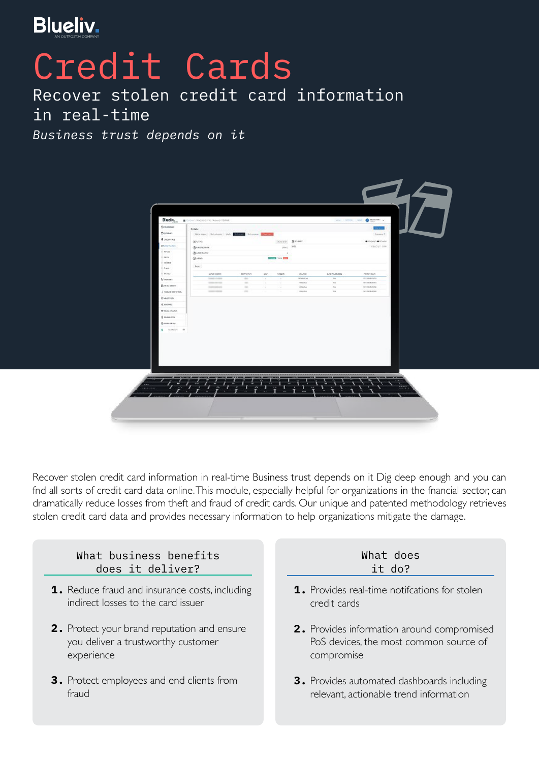

## Credit Cards

Recover stolen credit card information in real-time *Business trust depends on it*



Recover stolen credit card information in real-time Business trust depends on it Dig deep enough and you can fnd all sorts of credit card data online.This module, especially helpful for organizations in the fnancial sector, can dramatically reduce losses from theft and fraud of credit cards. Our unique and patented methodology retrieves stolen credit card data and provides necessary information to help organizations mitigate the damage.



- **1.** Reduce fraud and insurance costs, including indirect losses to the card issuer
- **2.** Protect your brand reputation and ensure you deliver a trustworthy customer experience
- **3.** Protect employees and end clients from fraud

## What does it do?

- **1.** Provides real-time notifcations for stolen credit cards
- **2.** Provides information around compromised PoS devices, the most common source of compromise
- **3.** Provides automated dashboards including relevant, actionable trend information